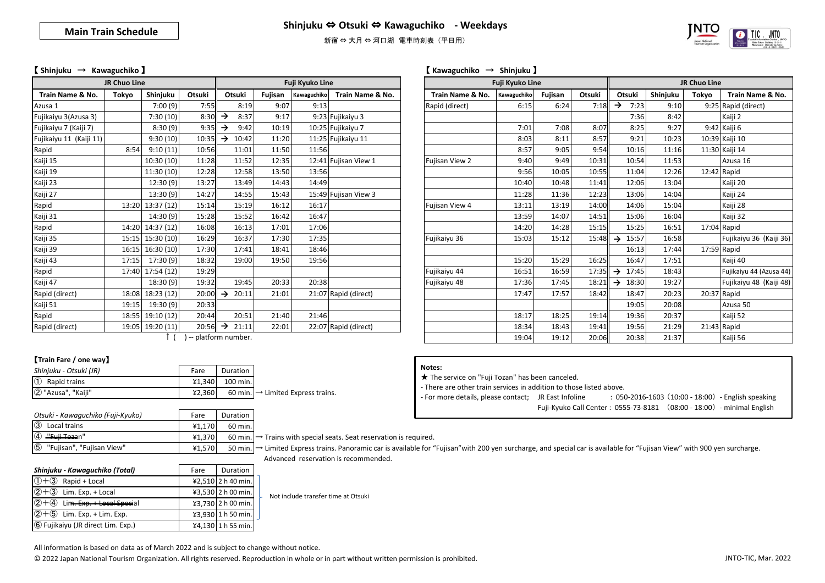新宿 ⇔ 大月 ⇔ 河口湖 電車時刻表 (平日用)



#### 【 **Shinjuku** → **Kawaguchiko** 】 【 **Kawaguchiko** → **Shinjuku** 】

| <b>JR Chuo Line</b>     |       |                  |                       | Fuji Kyuko Line<br>Fuji Kyuko Line |         |             |                      |  |                  |             | JR Chuo Line |        |                           |          |       |                     |
|-------------------------|-------|------------------|-----------------------|------------------------------------|---------|-------------|----------------------|--|------------------|-------------|--------------|--------|---------------------------|----------|-------|---------------------|
| Train Name & No.        | Tokyo | Shinjuku         | Otsuki                | Otsuki                             | Fujisan | Kawaguchiko | Train Name & No.     |  | Train Name & No. | Kawaguchiko | Fujisan      | Otsuki | Otsuki                    | Shinjuku | Tokyo | <b>Train Name</b>   |
| Azusa 1                 |       | 7:00(9)          | 7:55                  | 8:19                               | 9:07    | 9:13        |                      |  | Rapid (direct)   | 6:15        | 6:24         | 7:18   | →<br>7:23                 | 9:10     |       | 9:25 Rapid (direct) |
| Fujikaiyu 3(Azusa 3)    |       | 7:30(10)         | 8:30                  | 8:37<br>→                          | 9:17    |             | 9:23 Fujikaiyu 3     |  |                  |             |              |        | 7:36                      | 8:42     |       | Kaiji 2             |
| Fujikaiyu 7 (Kaiji 7)   |       | 8:30(9)          | 9:35                  | 9:42<br>→                          | 10:19   |             | 10:25 Fujikaiyu 7    |  |                  | 7:01        | 7:08         | 8:07   | 8:25                      | 9:27     |       | 9:42 Kaiji 6        |
| Fujikaiyu 11 (Kaiji 11) |       | 9:30(10)         | 10:35                 | 10:42<br>$\rightarrow$             | 11:20   |             | 11:25 Fujikaiyu 11   |  |                  | 8:03        | 8:11         | 8:57   | 9:21                      | 10:23    |       | 10:39 Kaiji 10      |
| Rapid                   | 8:54  | 9:10(11)         | 10:56                 | 11:01                              | 11:50   | 11:56       |                      |  |                  | 8:57        | 9:05         | 9:54   | 10:16                     | 11:16    |       | 11:30 Kaiji 14      |
| Kaiji 15                |       | 10:30(10)        | 11:28                 | 11:52                              | 12:35   |             | 12:41 Fujisan View 1 |  | Fujisan View 2   | 9:40        | 9:49         | 10:31  | 10:54                     | 11:53    |       | Azusa 16            |
| Kaiji 19                |       | 11:30(10)        | 12:28                 | 12:58                              | 13:50   | 13:56       |                      |  |                  | 9:56        | 10:05        | 10:55  | 11:04                     | 12:26    |       | 12:42 Rapid         |
| Kaiji 23                |       | 12:30(9)         | 13:27                 | 13:49                              | 14:43   | 14:49       |                      |  |                  | 10:40       | 10:48        | 11:41  | 12:06                     | 13:04    |       | Kaiji 20            |
| Kaiji 27                |       | 13:30(9)         | 14:27                 | 14:55                              | 15:43   |             | 15:49 Fujisan View 3 |  |                  | 11:28       | 11:36        | 12:23  | 13:06                     | 14:04    |       | Kaiji 24            |
| Rapid                   | 13:20 | 13:37 (12)       | 15:14                 | 15:19                              | 16:12   | 16:17       |                      |  | Fujisan View 4   | 13:11       | 13:19        | 14:00  | 14:06                     | 15:04    |       | Kaiji 28            |
| Kaiji 31                |       | 14:30(9)         | 15:28                 | 15:52                              | 16:42   | 16:47       |                      |  |                  | 13:59       | 14:07        | 14:51  | 15:06                     | 16:04    |       | Kaiji 32            |
| Rapid                   |       | 14:20 14:37 (12) | 16:08                 | 16:13                              | 17:01   | 17:06       |                      |  |                  | 14:20       | 14:28        | 15:15  | 15:25                     | 16:51    |       | 17:04 Rapid         |
| Kaiji 35                |       | 15:15 15:30 (10) | 16:29                 | 16:37                              | 17:30   | 17:35       |                      |  | Fujikaiyu 36     | 15:03       | 15:12        |        | $15:48 \rightarrow 15:57$ | 16:58    |       | Fujikaiyu 36        |
| Kaiji 39                |       | 16:15 16:30 (10) | 17:30                 | 17:41                              | 18:41   | 18:46       |                      |  |                  |             |              |        | 16:13                     | 17:44    |       | 17:59 Rapid         |
| Kaiji 43                | 17:15 | 17:30(9)         | 18:32                 | 19:00                              | 19:50   | 19:56       |                      |  |                  | 15:20       | 15:29        | 16:25  | 16:47                     | 17:51    |       | Kaiji 40            |
| Rapid                   |       | 17:40 17:54 (12) | 19:29                 |                                    |         |             |                      |  | Fujikaiyu 44     | 16:51       | 16:59        | 17:35  | 17:45<br>$\rightarrow$    | 18:43    |       | Fujikaiyu 44 (A     |
| Kaiji 47                |       | 18:30(9)         | 19:32                 | 19:45                              | 20:33   | 20:38       |                      |  | Fujikaiyu 48     | 17:36       | 17:45        | 18:21  | 18:30<br>$\rightarrow$    | 19:27    |       | Fujikaiyu 48        |
| Rapid (direct)          | 18:08 | 18:23(12)        | $20:00$ $\rightarrow$ | 20:11                              | 21:01   |             | 21:07 Rapid (direct) |  |                  | 17:47       | 17:57        | 18:42  | 18:47                     | 20:23    |       | 20:37 Rapid         |
| Kaiji 51                | 19:15 | 19:30(9)         | 20:33                 |                                    |         |             |                      |  |                  |             |              |        | 19:05                     | 20:08    |       | Azusa 50            |
| Rapid                   |       | 18:55 19:10 (12) | 20:44                 | 20:51                              | 21:40   | 21:46       |                      |  |                  | 18:17       | 18:25        | 19:14  | 19:36                     | 20:37    |       | Kaiji 52            |
| Rapid (direct)          |       | 19:05 19:20 (11) | 20:56                 | $\rightarrow$<br>21:11             | 22:01   |             | 22:07 Rapid (direct) |  |                  | 18:34       | 18:43        | 19:41  | 19:56                     | 21:29    |       | 21:43 Rapid         |

| <b>THE AND AND A</b>    |       | i uji ivyuno sinc |                     |               |        | i uji ivyunu Liliu |             |                      |                  | <b>JIL AND PILL</b> |         |        |               |                     |          |       |                         |
|-------------------------|-------|-------------------|---------------------|---------------|--------|--------------------|-------------|----------------------|------------------|---------------------|---------|--------|---------------|---------------------|----------|-------|-------------------------|
| Train Name & No.        | Tokyo | Shinjuku          | Otsuki              |               | Otsuki | Fujisan            | Kawaguchiko | Train Name & No.     | Train Name & No. | Kawaguchiko         | Fujisan | Otsuki |               | Otsuki              | Shinjuku | Tokyo | Train Name & No.        |
| Azusa 1                 |       | 7:00(9)           | 7:55                |               | 8:19   | 9:07               | 9:13        |                      | Rapid (direct)   | 6:15                | 6:24    | 7:18   | →             | 7:23                | 9:10     |       | 9:25 Rapid (direct)     |
| Fujikaiyu 3(Azusa 3)    |       | 7:30(10)          | 8:30                | →             | 8:37   | 9:17               |             | 9:23 Fujikaiyu 3     |                  |                     |         |        |               | 7:36                | 8:42     |       | Kaiji 2                 |
| Fujikaiyu 7 (Kaiji 7)   |       | 8:30(9)           | 9:35                | →             | 9:42   | 10:19              |             | 10:25 Fujikaiyu 7    |                  | 7:01                | 7:08    | 8:07   |               | 8:25                | 9:27     |       | 9:42 Kaiji 6            |
| Fujikaiyu 11 (Kaiji 11) |       | 9:30(10)          | 10:35               | →             | 10:42  | 11:20              |             | 11:25 Fujikaiyu 11   |                  | 8:03                | 8:11    | 8:57   |               | 9:21                | 10:23    |       | 10:39 Kaiji 10          |
| Rapid                   | 8:54  | 9:10(11)          | 10:56               |               | 11:01  | 11:50              | 11:56       |                      |                  | 8:57                | 9:05    | 9:54   |               | 10:16               | 11:16    |       | 11:30 Kaiji 14          |
| Kaiji 15                |       | 10:30(10)         | 11:28               |               | 11:52  | 12:35              |             | 12:41 Fujisan View 1 | Fujisan View 2   | 9:40                | 9:49    | 10:31  |               | 10:54               | 11:53    |       | Azusa 16                |
| Kaiji 19                |       | 11:30 (10)        | 12:28               |               | 12:58  | 13:50              | 13:56       |                      |                  | 9:56                | 10:05   | 10:55  |               | 11:04               | 12:26    |       | 12:42 Rapid             |
| Kaiji 23                |       | 12:30(9)          | 13:27               |               | 13:49  | 14:43              | 14:49       |                      |                  | 10:40               | 10:48   | 11:41  |               | 12:06               | 13:04    |       | Kaiji 20                |
| Kaiji 27                |       | 13:30(9)          | 14:27               |               | 14:55  | 15:43              |             | 15:49 Fujisan View 3 |                  | 11:28               | 11:36   | 12:23  |               | 13:06               | 14:04    |       | Kaiji 24                |
| Rapid                   |       | 13:20 13:37 (12)  | 15:14               |               | 15:19  | 16:12              | 16:17       |                      | Fujisan View 4   | 13:11               | 13:19   | 14:00  |               | 14:06               | 15:04    |       | Kaiji 28                |
| Kaiji 31                |       | 14:30 (9)         | 15:28               |               | 15:52  | 16:42              | 16:47       |                      |                  | 13:59               | 14:07   | 14:51  |               | 15:06               | 16:04    |       | Kaiji 32                |
| Rapid                   |       | 14:20 14:37 (12)  | 16:08               |               | 16:13  | 17:01              | 17:06       |                      |                  | 14:20               | 14:28   | 15:15  |               | 15:25               | 16:51    |       | 17:04 Rapid             |
| Kaiji 35                |       | 15:15 15:30 (10)  | 16:29               |               | 16:37  | 17:30              | 17:35       |                      | Fujikaiyu 36     | 15:03               | 15:12   | 15:48  | $\rightarrow$ | 15:57               | 16:58    |       | Fujikaiyu 36 (Kaiji 36) |
| Kaiji 39                | 16:15 | 16:30 (10)        | 17:30               |               | 17:41  | 18:41              | 18:46       |                      |                  |                     |         |        |               | 16:13               | 17:44    |       | 17:59 Rapid             |
| Kaiji 43                | 17:15 | 17:30(9)          | 18:32               |               | 19:00  | 19:50              | 19:56       |                      |                  | 15:20               | 15:29   | 16:25  |               | 16:47               | 17:51    |       | Kaiji 40                |
| Rapid                   |       | 17:40 17:54 (12)  | 19:29               |               |        |                    |             |                      | Fujikaiyu 44     | 16:51               | 16:59   | 17:35  |               | $\rightarrow$ 17:45 | 18:43    |       | Fujikaiyu 44 (Azusa 44) |
| Kaiji 47                |       | 18:30 (9)         | 19:32               |               | 19:45  | 20:33              | 20:38       |                      | Fujikaiyu 48     | 17:36               | 17:45   | 18:21  |               | $\rightarrow$ 18:30 | 19:27    |       | Fujikaiyu 48 (Kaiji 48) |
| Rapid (direct)          |       | 18:08 18:23 (12)  | 20:00               | →             | 20:11  | 21:01              |             | 21:07 Rapid (direct) |                  | 17:47               | 17:57   | 18:42  |               | 18:47               | 20:23    |       | 20:37 Rapid             |
| Kaiji 51                | 19:15 | 19:30 (9)         | 20:33               |               |        |                    |             |                      |                  |                     |         |        |               | 19:05               | 20:08    |       | Azusa 50                |
| Rapid                   |       | 18:55 19:10 (12)  | 20:44               |               | 20:51  | 21:40              | 21:46       |                      |                  | 18:17               | 18:25   | 19:14  |               | 19:36               | 20:37    |       | Kaiji 52                |
| Rapid (direct)          |       | 19:05 19:20 (11)  | 20:56               | $\rightarrow$ | 21:11  | 22:01              |             | 22:07 Rapid (direct) |                  | 18:34               | 18:43   | 19:41  |               | 19:56               | 21:29    |       | 21:43 Rapid             |
|                         |       |                   | -- platform number. |               |        |                    |             |                      |                  | 19:04               | 19:12   | 20:06  |               | 20:38               | 21:37    |       | Kaiji 56                |

#### ↑ ( ) -- platform number.

# 【**Train Fare / one way**】

| Shinjuku - Otsuki (JR)     | Fare   | Duration          |                                               |
|----------------------------|--------|-------------------|-----------------------------------------------|
| $\circled{1}$ Rapid trains |        | $41,340$ 100 min. |                                               |
| 2 "Azusa", "Kaiji"         | 42.360 |                   | 60 min. $\rightarrow$ Limited Express trains. |

| Otsuki - Kawaguchiko (Fuji-Kyuko)          | Fare   | Duration              |
|--------------------------------------------|--------|-----------------------|
| $\circled{3}$<br>Local trains              | ¥1.170 | 60 min.               |
| <del>"Fuii Toza</del> n"<br>(4)            | ¥1.370 | $60$ min.             |
| $\circled{5}$<br>"Fujisan", "Fujisan View" | 41.570 | 50 min. $\vert \cdot$ |

|  |  | ¥1,370 60 min. $\rightarrow$ Trains with special seats. Seat reservation is required. |
|--|--|---------------------------------------------------------------------------------------|
|--|--|---------------------------------------------------------------------------------------|

→ Limited Express trains. Panoramic car is available for "Fujisan"with 200 yen surcharge, and special car is available for "Fujisan View" with 900 yen surcharge. Advanced reservation is recommended.

| Shinjuku - Kawaguchiko (Total)        | Fare | Duration           |
|---------------------------------------|------|--------------------|
| $(1) + (3)$ Rapid + Local             |      | ¥2,510 2 h 40 min. |
| $(2+3)$ Lim. Exp. + Local             |      | ¥3,530 2 h 00 min. |
| $(2) + (4)$ Lim. Exp. + Local Special |      | ¥3,730 2 h 00 min. |
| $(2+5)$ Lim. Exp. + Lim. Exp.         |      | ¥3,930 1 h 50 min. |
| 6 Fujikaiyu (JR direct Lim. Exp.)     |      | ¥4,130 1 h 55 min. |

Not include transfer time at Otsuki

All information is based on data as of March 2022 and is subject to change without notice.

© 2022 Japan National Tourism Organization. All rights reserved. Reproduction in whole or in part without written permission is prohibited.

## **Notes:**

★ The service on "Fuji Tozan" has been canceled.

- There are other train services in addition to those listed above.

- For more details, please contact; JR East Infoline : 050-2016-1603 (10:00 - 18:00) - English speaking Fuji-Kyuko Call Center : 0555-73-8181 (08:00 - 18:00) - minimal English